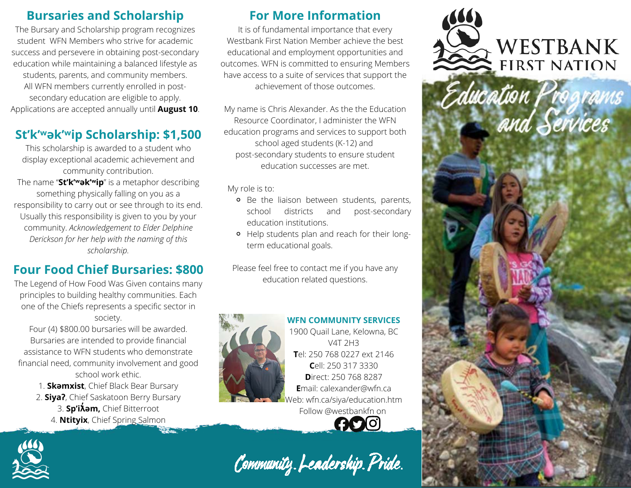## **Bursaries and Scholarship**

The Bursary and Scholarship program recognizes student WFN Members who strive for academic success and persevere in obtaining post-secondary education while maintaining a balanced lifestyle as students, parents, and community members. All WFN members currently enrolled in postsecondary education are eligible to apply. Applications are accepted annually until **August 10**.

## **St'k'ʷək'ʷip Scholarship: \$1,500**

This scholarship is awarded to a student who display exceptional academic achievement and community contribution.

The name "**St'k'ʷək'ʷip**" is a metaphor describing something physically falling on you as a responsibility to carry out or see through to its end. Usually this responsibility is given to you by your community. *Acknowledgement to Elder Delphine Derickson for her help with the naming of this scholarship.*

# **Four Food Chief Bursaries: \$800**

The Legend of How Food Was Given contains many principles to building healthy communities. Each one of the Chiefs represents a specific sector in society.

Four (4) \$800.00 bursaries will be awarded. Bursaries are intended to provide financial assistance to WFN students who demonstrate financial need, community involvement and good school work ethic.

1. **Skəmxist**, Chief Black Bear Bursary 2. **Siyaʔ**, Chief Saskatoon Berry Bursary 3. **Sp'iƛ̓əm,** Chief Bitterroot 4. **Ntityix**, Chief Spring Salmon

# **For More Information**

It is of fundamental importance that every Westbank First Nation Member achieve the best educational and employment opportunities and outcomes. WFN is committed to ensuring Members have access to a suite of services that support the achievement of those outcomes.

My name is Chris Alexander. As the the Education Resource Coordinator, I administer the WFN education programs and services to support both school aged students (K-12) and post-secondary students to ensure student education successes are met.

My role is to:

- **o** Be the liaison between students, parents, school districts and post-secondary education institutions.
- Help students plan and reach for their longterm educational goals.

Please feel free to contact me if you have any education related questions.



**WFN COMMUNITY SERVICES** 1900 Quail Lane, Kelowna, BC V4T 2H3 **T**el: 250 768 0227 ext 2146 **C**ell: 250 317 3330 **D**irect: 250 768 8287 **E**mail: calexander@wfn.ca Web: wfn.ca/siya/education.htm Follow @westbankfn on



Community. Leadership. Pride.